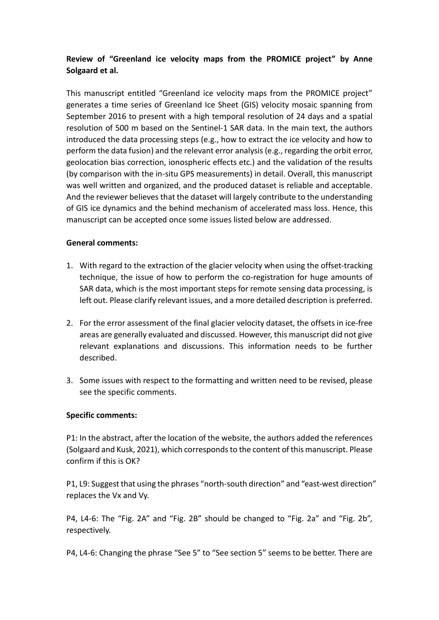## **Review of "Greenland ice velocity maps from the PROMICE project" by Anne Solgaard et al.**

This manuscript entitled "Greenland ice velocity maps from the PROMICE project" generates a time series of Greenland Ice Sheet (GIS) velocity mosaic spanning from September 2016 to present with a high temporal resolution of 24 days and a spatial resolution of 500 m based on the Sentinel-1 SAR data. In the main text, the authors introduced the data processing steps (e.g., how to extract the ice velocity and how to perform the data fusion) and the relevant error analysis(e.g., regarding the orbit error, geolocation bias correction, ionospheric effects etc.) and the validation of the results (by comparison with the in-situ GPS measurements) in detail. Overall, this manuscript was well written and organized, and the produced dataset is reliable and acceptable. And the reviewer believes that the dataset will largely contribute to the understanding of GIS ice dynamics and the behind mechanism of accelerated mass loss. Hence, this manuscript can be accepted once some issues listed below are addressed.

## **General comments:**

- 1. With regard to the extraction of the glacier velocity when using the offset-tracking technique, the issue of how to perform the co-registration for huge amounts of SAR data, which is the most important steps for remote sensing data processing, is left out. Please clarify relevant issues, and a more detailed description is preferred.
- 2. For the error assessment of the final glacier velocity dataset, the offsets in ice-free areas are generally evaluated and discussed. However, this manuscript did not give relevant explanations and discussions. This information needs to be further described.
- 3. Some issues with respect to the formatting and written need to be revised, please see the specific comments.

## **Specific comments:**

P1: In the abstract, after the location of the website, the authors added the references (Solgaard and Kusk, 2021), which corresponds to the content of this manuscript. Please confirm if this is OK?

P1, L9: Suggest that using the phrases "north-south direction" and "east-west direction" replaces the Vx and Vy.

P4, L4-6: The "Fig. 2A" and "Fig. 2B" should be changed to "Fig. 2a" and "Fig. 2b", respectively.

P4, L4-6: Changing the phrase "See 5" to "See section 5" seems to be better. There are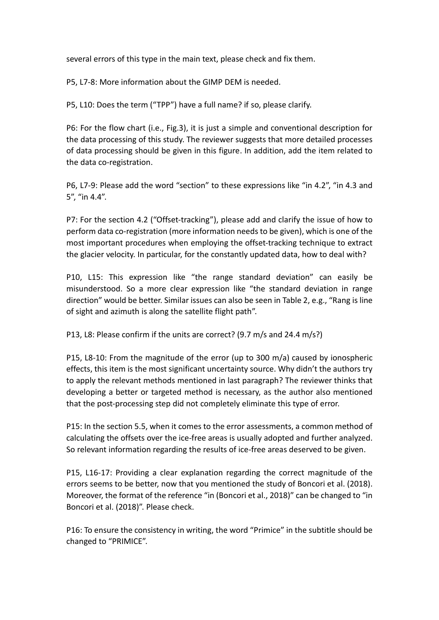several errors of this type in the main text, please check and fix them.

P5, L7-8: More information about the GIMP DEM is needed.

P5, L10: Does the term ("TPP") have a full name? if so, please clarify.

P6: For the flow chart (i.e., Fig.3), it is just a simple and conventional description for the data processing of this study. The reviewer suggests that more detailed processes of data processing should be given in this figure. In addition, add the item related to the data co-registration.

P6, L7-9: Please add the word "section" to these expressions like "in 4.2", "in 4.3 and 5", "in 4.4".

P7: For the section 4.2 ("Offset-tracking"), please add and clarify the issue of how to perform data co-registration (more information needs to be given), which is one of the most important procedures when employing the offset-tracking technique to extract the glacier velocity. In particular, for the constantly updated data, how to deal with?

P10, L15: This expression like "the range standard deviation" can easily be misunderstood. So a more clear expression like "the standard deviation in range direction" would be better. Similar issues can also be seen in Table 2, e.g., "Rang is line of sight and azimuth is along the satellite flight path".

P13, L8: Please confirm if the units are correct? (9.7 m/s and 24.4 m/s?)

P15, L8-10: From the magnitude of the error (up to 300 m/a) caused by ionospheric effects, this item is the most significant uncertainty source. Why didn't the authors try to apply the relevant methods mentioned in last paragraph? The reviewer thinks that developing a better or targeted method is necessary, as the author also mentioned that the post-processing step did not completely eliminate this type of error.

P15: In the section 5.5, when it comes to the error assessments, a common method of calculating the offsets over the ice-free areas is usually adopted and further analyzed. So relevant information regarding the results of ice-free areas deserved to be given.

P15, L16-17: Providing a clear explanation regarding the correct magnitude of the errors seems to be better, now that you mentioned the study of Boncori et al. (2018). Moreover, the format of the reference "in (Boncori et al., 2018)" can be changed to "in Boncori et al. (2018)". Please check.

P16: To ensure the consistency in writing, the word "Primice" in the subtitle should be changed to "PRIMICE".